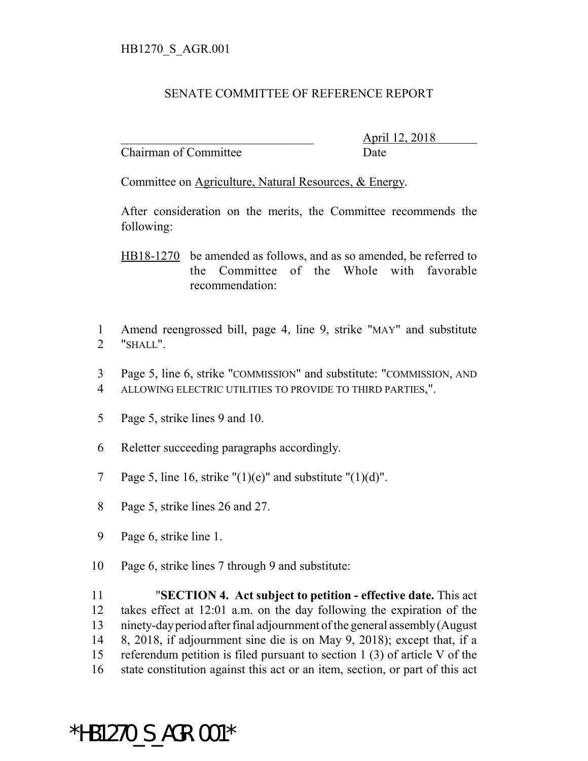## SENATE COMMITTEE OF REFERENCE REPORT

Chairman of Committee Date

\_\_\_\_\_\_\_\_\_\_\_\_\_\_\_\_\_\_\_\_\_\_\_\_\_\_\_\_\_\_\_ April 12, 2018

Committee on Agriculture, Natural Resources, & Energy.

After consideration on the merits, the Committee recommends the following:

HB18-1270 be amended as follows, and as so amended, be referred to the Committee of the Whole with favorable recommendation:

- 1 Amend reengrossed bill, page 4, line 9, strike "MAY" and substitute 2 "SHALL".
- 3 Page 5, line 6, strike "COMMISSION" and substitute: "COMMISSION, AND 4 ALLOWING ELECTRIC UTILITIES TO PROVIDE TO THIRD PARTIES,".
- 5 Page 5, strike lines 9 and 10.
- 6 Reletter succeeding paragraphs accordingly.
- 7 Page 5, line 16, strike " $(1)(e)$ " and substitute " $(1)(d)$ ".
- 8 Page 5, strike lines 26 and 27.
- 9 Page 6, strike line 1.
- 10 Page 6, strike lines 7 through 9 and substitute:

 "**SECTION 4. Act subject to petition - effective date.** This act takes effect at 12:01 a.m. on the day following the expiration of the ninety-day period after final adjournment of the general assembly (August 8, 2018, if adjournment sine die is on May 9, 2018); except that, if a referendum petition is filed pursuant to section 1 (3) of article V of the state constitution against this act or an item, section, or part of this act

## \*HB1270\_S\_AGR.001\*